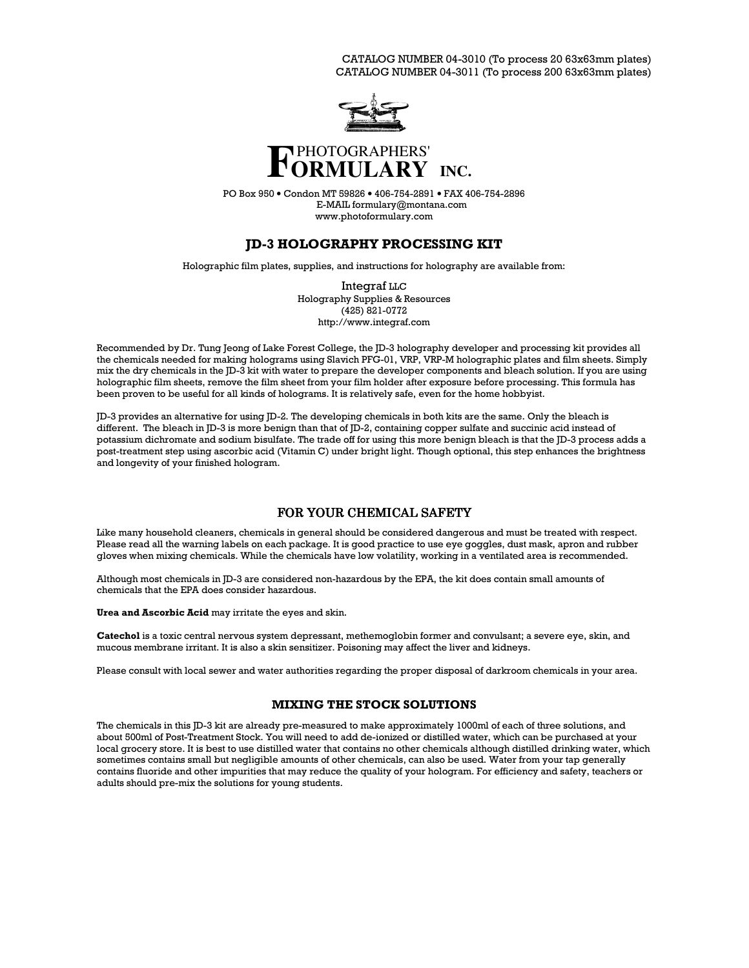CATALOG NUMBER 04-3010 (To process 20 63x63mm plates) CATALOG NUMBER 04-3011 (To process 200 63x63mm plates)



# **INC.**

PO Box 950 • Condon MT 59826 • 406-754-2891 • FAX 406-754-2896 E-MAIL formulary@montana.com www.photoformulary.com

# **JD-3 HOLOGRAPHY PROCESSING KIT**

Holographic film plates, supplies, and instructions for holography are available from:

Integraf  $_{LLC}$ Holography Supplies & Resources  $(425)$  821-0772 http://www.integraf.com

Recommended by Dr. Tung Jeong of Lake Forest College, the JD-3 holography developer and processing kit provides all the chemicals needed for making holograms using Slavich PFG-01, VRP, VRP-M holographic plates and film sheets. Simply mix the dry chemicals in the JD-3 kit with water to prepare the developer components and bleach solution. If you are using holographic film sheets, remove the film sheet from your film holder after exposure before processing. This formula has been proven to be useful for all kinds of holograms. It is relatively safe, even for the home hobbyist.

[D-3 provides an alternative for using [D-2. The developing chemicals in both kits are the same. Only the bleach is different. The bleach in JD-3 is more benign than that of JD-2, containing copper sulfate and succinic acid instead of potassium dichromate and sodium bisulfate. The trade off for using this more benign bleach is that the JD-3 process adds a post-treatment step using ascorbic acid (Vitamin C) under bright light. Though optional, this step enhances the brightness and longevity of your finished hologram.

# FOR YOUR CHEMICAL SAFETY

Like many household cleaners, chemicals in general should be considered dangerous and must be treated with respect. Please read all the warning labels on each package. It is good practice to use eye goggles, dust mask, apron and rubber gloves when mixing chemicals. While the chemicals have low volatility, working in a ventilated area is recommended.

Although most chemicals in JD-3 are considered non-hazardous by the EPA, the kit does contain small amounts of chemicals that the EPA does consider hazardous.

Urea and Ascorbic Acid may irritate the eyes and skin.

Catechol is a toxic central nervous system depressant, methemoglobin former and convulsant; a severe eye, skin, and mucous membrane irritant. It is also a skin sensitizer. Poisoning may affect the liver and kidneys.

Please consult with local sewer and water authorities regarding the proper disposal of darkroom chemicals in your area.

# MIXING THE STOCK SOLUTIONS

The chemicals in this JD-3 kit are already pre-measured to make approximately 1000ml of each of three solutions, and about 500ml of Post-Treatment Stock. You will need to add de-ionized or distilled water, which can be purchased at your local grocery store. It is best to use distilled water that contains no other chemicals although distilled drinking water, which sometimes contains small but negligible amounts of other chemicals, can also be used. Water from your tap generally contains fluoride and other impurities that may reduce the quality of your hologram. For efficiency and safety, teachers or adults should pre-mix the solutions for young students.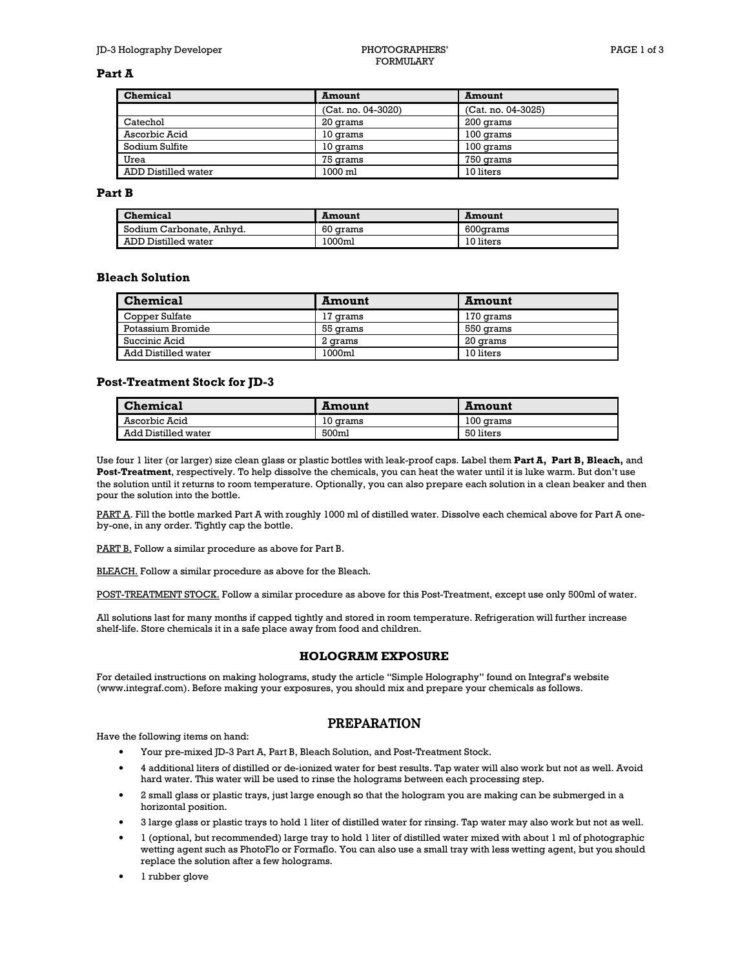#### Part A

| Chemical            | Amount             | <b>Amount</b>      |
|---------------------|--------------------|--------------------|
|                     | (Cat. no. 04-3020) | (Cat. no. 04-3025) |
| Catechol            | 20 grams           | 200 grams          |
| Ascorbic Acid       | 10 grams           | 100 grams          |
| Sodium Sulfite      | 10 grams           | 100 grams          |
| Urea                | 75 grams           | 750 grams          |
| ADD Distilled water | 1000 ml            | 10 liters          |

#### Part **B**

| Chemical                 | Amount   | Amount    |
|--------------------------|----------|-----------|
| Sodium Carbonate, Anhyd. | 60 grams | 600 arams |
| ADD Distilled water      | 1000ml   | 10 liters |

## **Bleach Solution**

| <b>Chemical</b>     | <b>Amount</b> | <b>Amount</b> |
|---------------------|---------------|---------------|
| Copper Sulfate      | 17 orams      | 170 grams     |
| Potassium Bromide   | 55 grams      | 550 grams     |
| Succinic Acid       | 2 arams       | 20 grams      |
| Add Distilled water | 1000ml        | 10 liters     |

## **Post-Treatment Stock for JD-3**

| <b>Chemical</b>     | Amount   | Amount              |
|---------------------|----------|---------------------|
| Ascorbic Acid       | 10 grams | $100$ $\alpha$ rams |
| Add Distilled water | 500ml    | 50 liters           |

Use four 1 liter (or larger) size clean glass or plastic bottles with leak-proof caps. Label them Part A, Part B, Bleach, and Post-Treatment, respectively. To help dissolve the chemicals, you can heat the water until it is luke warm. But don't use the solution until it returns to room temperature. Optionally, you can also prepare each solution in a clean beaker and then pour the solution into the bottle.

PART A. Fill the bottle marked Part A with roughly 1000 ml of distilled water. Dissolve each chemical above for Part A oneby-one, in any order. Tightly cap the bottle.

PART B. Follow a similar procedure as above for Part B.

**BLEACH.** Follow a similar procedure as above for the Bleach.

POST-TREATMENT STOCK. Follow a similar procedure as above for this Post-Treatment, except use only 500ml of water.

All solutions last for many months if capped tightly and stored in room temperature. Refrigeration will further increase shelf-life. Store chemicals it in a safe place away from food and children.

## **HOLOGRAM EXPOSURE**

For detailed instructions on making holograms, study the article "Simple Holography" found on Integraf's website (www.integraf.com). Before making your exposures, you should mix and prepare your chemicals as follows.

## **PREPARATION**

Have the following items on hand:

- Your pre-mixed JD-3 Part A, Part B, Bleach Solution, and Post-Treatment Stock.
- 4 additional liters of distilled or de-ionized water for best results. Tap water will also work but not as well. Avoid hard water. This water will be used to rinse the holograms between each processing step.
- 2 small glass or plastic trays, just large enough so that the hologram you are making can be submerged in a horizontal position.
- 3 large glass or plastic trays to hold 1 liter of distilled water for rinsing. Tap water may also work but not as well.
- l (optional, but recommended) large tray to hold 1 liter of distilled water mixed with about 1 ml of photographic wetting agent such as PhotoFlo or Formaflo. You can also use a small tray with less wetting agent, but you should replace the solution after a few holograms.
- l rubber glove